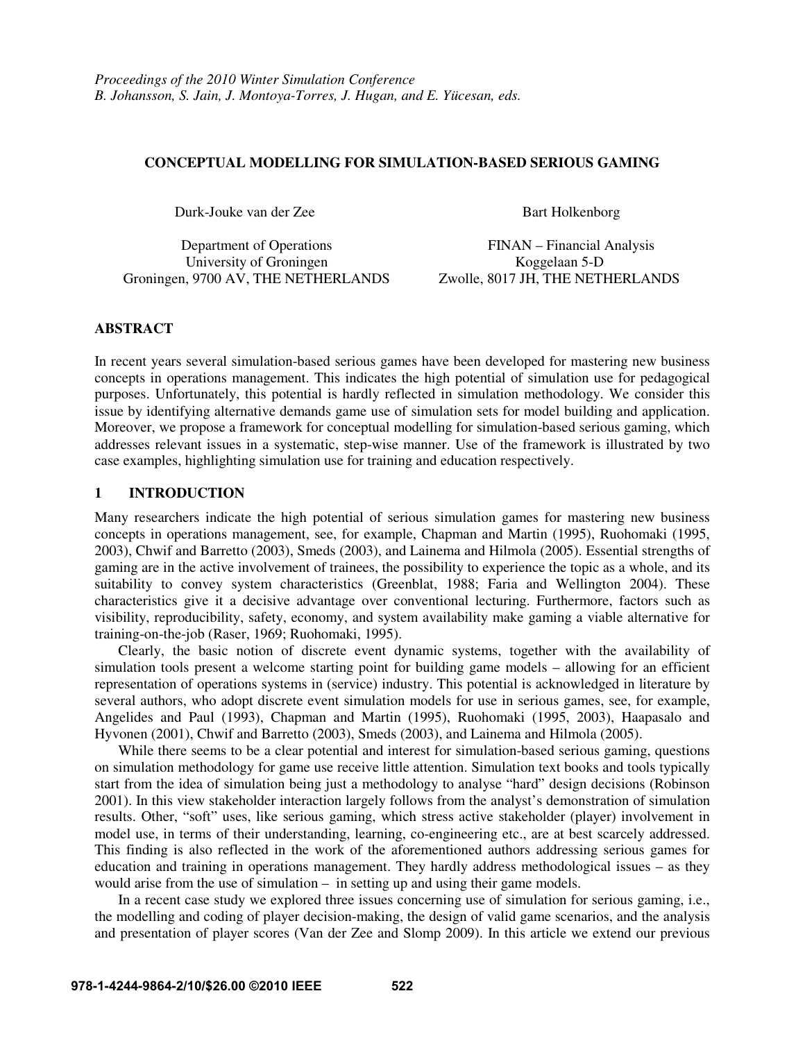#### **CONCEPTUAL MODELLING FOR SIMULATION-BASED SERIOUS GAMING**

Durk-Jouke van der Zee Bart Holkenborg

University of Groningen Koggelaan 5-D Groningen, 9700 AV, THE NETHERLANDS Zwolle, 8017 JH, THE NETHERLANDS

Department of Operations FINAN – Financial Analysis

#### **ABSTRACT**

In recent years several simulation-based serious games have been developed for mastering new business concepts in operations management. This indicates the high potential of simulation use for pedagogical purposes. Unfortunately, this potential is hardly reflected in simulation methodology. We consider this issue by identifying alternative demands game use of simulation sets for model building and application. Moreover, we propose a framework for conceptual modelling for simulation-based serious gaming, which addresses relevant issues in a systematic, step-wise manner. Use of the framework is illustrated by two case examples, highlighting simulation use for training and education respectively.

### **1 INTRODUCTION**

Many researchers indicate the high potential of serious simulation games for mastering new business concepts in operations management, see, for example, Chapman and Martin (1995), Ruohomaki (1995, 2003), Chwif and Barretto (2003), Smeds (2003), and Lainema and Hilmola (2005). Essential strengths of gaming are in the active involvement of trainees, the possibility to experience the topic as a whole, and its suitability to convey system characteristics (Greenblat, 1988; Faria and Wellington 2004). These characteristics give it a decisive advantage over conventional lecturing. Furthermore, factors such as visibility, reproducibility, safety, economy, and system availability make gaming a viable alternative for training-on-the-job (Raser, 1969; Ruohomaki, 1995).

Clearly, the basic notion of discrete event dynamic systems, together with the availability of simulation tools present a welcome starting point for building game models – allowing for an efficient representation of operations systems in (service) industry. This potential is acknowledged in literature by several authors, who adopt discrete event simulation models for use in serious games, see, for example, Angelides and Paul (1993), Chapman and Martin (1995), Ruohomaki (1995, 2003), Haapasalo and Hyvonen (2001), Chwif and Barretto (2003), Smeds (2003), and Lainema and Hilmola (2005).

While there seems to be a clear potential and interest for simulation-based serious gaming, questions on simulation methodology for game use receive little attention. Simulation text books and tools typically start from the idea of simulation being just a methodology to analyse "hard" design decisions (Robinson 2001). In this view stakeholder interaction largely follows from the analyst's demonstration of simulation results. Other, "soft" uses, like serious gaming, which stress active stakeholder (player) involvement in model use, in terms of their understanding, learning, co-engineering etc., are at best scarcely addressed. This finding is also reflected in the work of the aforementioned authors addressing serious games for education and training in operations management. They hardly address methodological issues – as they would arise from the use of simulation – in setting up and using their game models.

In a recent case study we explored three issues concerning use of simulation for serious gaming, i.e., the modelling and coding of player decision-making, the design of valid game scenarios, and the analysis and presentation of player scores (Van der Zee and Slomp 2009). In this article we extend our previous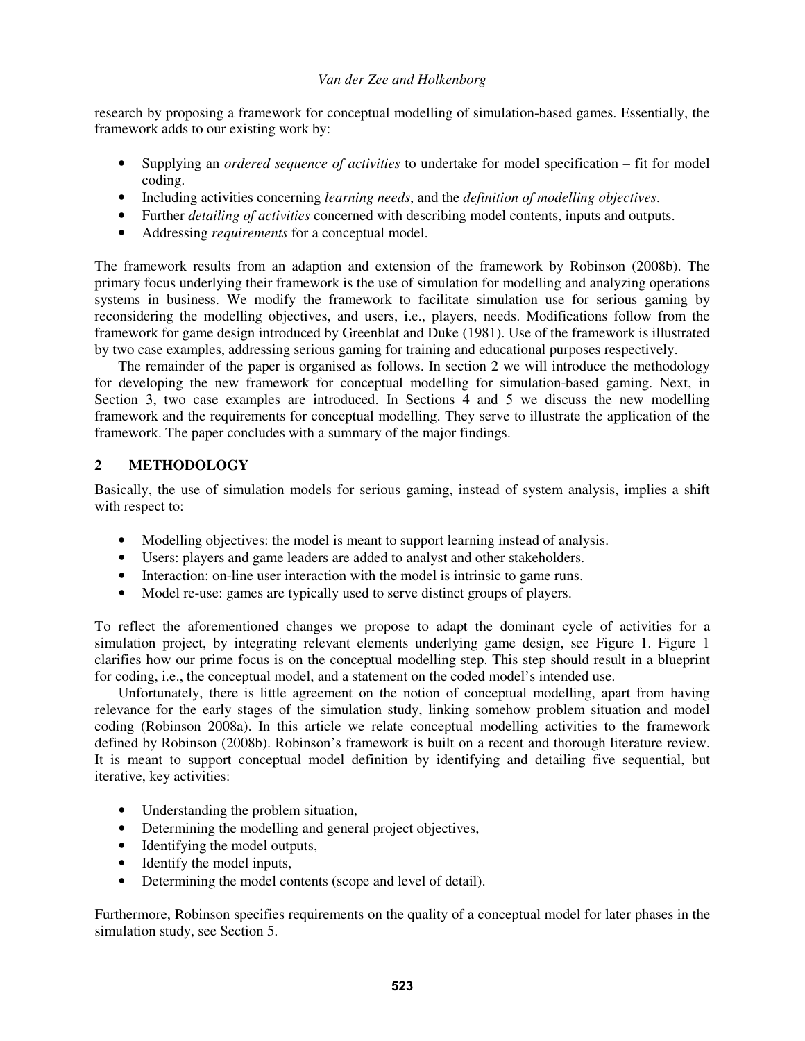research by proposing a framework for conceptual modelling of simulation-based games. Essentially, the framework adds to our existing work by:

- Supplying an *ordered sequence of activities* to undertake for model specification fit for model coding.
- Including activities concerning *learning needs*, and the *definition of modelling objectives*.
- Further *detailing of activities* concerned with describing model contents, inputs and outputs.
- Addressing *requirements* for a conceptual model.

The framework results from an adaption and extension of the framework by Robinson (2008b). The primary focus underlying their framework is the use of simulation for modelling and analyzing operations systems in business. We modify the framework to facilitate simulation use for serious gaming by reconsidering the modelling objectives, and users, i.e., players, needs. Modifications follow from the framework for game design introduced by Greenblat and Duke (1981). Use of the framework is illustrated by two case examples, addressing serious gaming for training and educational purposes respectively.

The remainder of the paper is organised as follows. In section 2 we will introduce the methodology for developing the new framework for conceptual modelling for simulation-based gaming. Next, in Section 3, two case examples are introduced. In Sections 4 and 5 we discuss the new modelling framework and the requirements for conceptual modelling. They serve to illustrate the application of the framework. The paper concludes with a summary of the major findings.

# **2 METHODOLOGY**

Basically, the use of simulation models for serious gaming, instead of system analysis, implies a shift with respect to:

- Modelling objectives: the model is meant to support learning instead of analysis.
- Users: players and game leaders are added to analyst and other stakeholders.
- Interaction: on-line user interaction with the model is intrinsic to game runs.
- Model re-use: games are typically used to serve distinct groups of players.

To reflect the aforementioned changes we propose to adapt the dominant cycle of activities for a simulation project, by integrating relevant elements underlying game design, see Figure 1. Figure 1 clarifies how our prime focus is on the conceptual modelling step. This step should result in a blueprint for coding, i.e., the conceptual model, and a statement on the coded model's intended use.

Unfortunately, there is little agreement on the notion of conceptual modelling, apart from having relevance for the early stages of the simulation study, linking somehow problem situation and model coding (Robinson 2008a). In this article we relate conceptual modelling activities to the framework defined by Robinson (2008b). Robinson's framework is built on a recent and thorough literature review. It is meant to support conceptual model definition by identifying and detailing five sequential, but iterative, key activities:

- Understanding the problem situation,
- Determining the modelling and general project objectives,
- Identifying the model outputs,
- Identify the model inputs,
- Determining the model contents (scope and level of detail).

Furthermore, Robinson specifies requirements on the quality of a conceptual model for later phases in the simulation study, see Section 5.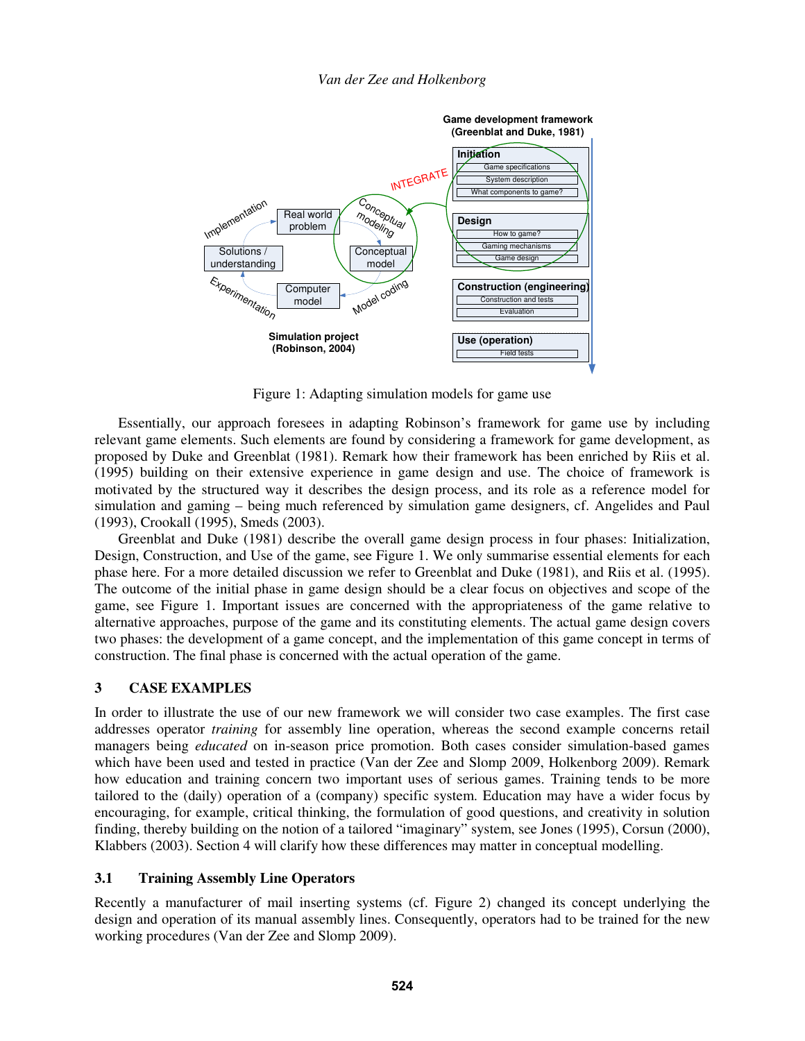

Figure 1: Adapting simulation models for game use

Essentially, our approach foresees in adapting Robinson's framework for game use by including relevant game elements. Such elements are found by considering a framework for game development, as proposed by Duke and Greenblat (1981). Remark how their framework has been enriched by Riis et al. (1995) building on their extensive experience in game design and use. The choice of framework is motivated by the structured way it describes the design process, and its role as a reference model for simulation and gaming – being much referenced by simulation game designers, cf. Angelides and Paul (1993), Crookall (1995), Smeds (2003).

Greenblat and Duke (1981) describe the overall game design process in four phases: Initialization, Design, Construction, and Use of the game, see Figure 1. We only summarise essential elements for each phase here. For a more detailed discussion we refer to Greenblat and Duke (1981), and Riis et al. (1995). The outcome of the initial phase in game design should be a clear focus on objectives and scope of the game, see Figure 1. Important issues are concerned with the appropriateness of the game relative to alternative approaches, purpose of the game and its constituting elements. The actual game design covers two phases: the development of a game concept, and the implementation of this game concept in terms of construction. The final phase is concerned with the actual operation of the game.

### **3 CASE EXAMPLES**

In order to illustrate the use of our new framework we will consider two case examples. The first case addresses operator *training* for assembly line operation, whereas the second example concerns retail managers being *educated* on in-season price promotion. Both cases consider simulation-based games which have been used and tested in practice (Van der Zee and Slomp 2009, Holkenborg 2009). Remark how education and training concern two important uses of serious games. Training tends to be more tailored to the (daily) operation of a (company) specific system. Education may have a wider focus by encouraging, for example, critical thinking, the formulation of good questions, and creativity in solution finding, thereby building on the notion of a tailored "imaginary" system, see Jones (1995), Corsun (2000), Klabbers (2003). Section 4 will clarify how these differences may matter in conceptual modelling.

#### **3.1 Training Assembly Line Operators**

Recently a manufacturer of mail inserting systems (cf. Figure 2) changed its concept underlying the design and operation of its manual assembly lines. Consequently, operators had to be trained for the new working procedures (Van der Zee and Slomp 2009).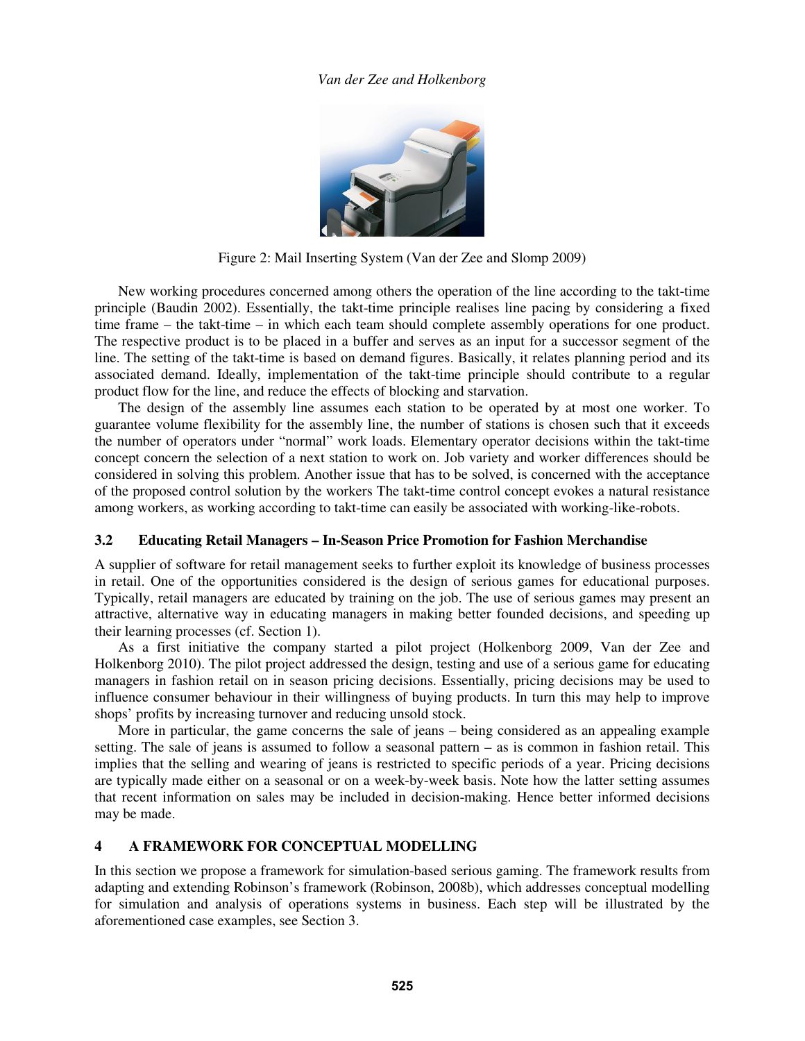

Figure 2: Mail Inserting System (Van der Zee and Slomp 2009)

New working procedures concerned among others the operation of the line according to the takt-time principle (Baudin 2002). Essentially, the takt-time principle realises line pacing by considering a fixed time frame – the takt-time – in which each team should complete assembly operations for one product. The respective product is to be placed in a buffer and serves as an input for a successor segment of the line. The setting of the takt-time is based on demand figures. Basically, it relates planning period and its associated demand. Ideally, implementation of the takt-time principle should contribute to a regular product flow for the line, and reduce the effects of blocking and starvation.

The design of the assembly line assumes each station to be operated by at most one worker. To guarantee volume flexibility for the assembly line, the number of stations is chosen such that it exceeds the number of operators under "normal" work loads. Elementary operator decisions within the takt-time concept concern the selection of a next station to work on. Job variety and worker differences should be considered in solving this problem. Another issue that has to be solved, is concerned with the acceptance of the proposed control solution by the workers The takt-time control concept evokes a natural resistance among workers, as working according to takt-time can easily be associated with working-like-robots.

#### **3.2 Educating Retail Managers – In-Season Price Promotion for Fashion Merchandise**

A supplier of software for retail management seeks to further exploit its knowledge of business processes in retail. One of the opportunities considered is the design of serious games for educational purposes. Typically, retail managers are educated by training on the job. The use of serious games may present an attractive, alternative way in educating managers in making better founded decisions, and speeding up their learning processes (cf. Section 1).

As a first initiative the company started a pilot project (Holkenborg 2009, Van der Zee and Holkenborg 2010). The pilot project addressed the design, testing and use of a serious game for educating managers in fashion retail on in season pricing decisions. Essentially, pricing decisions may be used to influence consumer behaviour in their willingness of buying products. In turn this may help to improve shops' profits by increasing turnover and reducing unsold stock.

More in particular, the game concerns the sale of jeans – being considered as an appealing example setting. The sale of jeans is assumed to follow a seasonal pattern – as is common in fashion retail. This implies that the selling and wearing of jeans is restricted to specific periods of a year. Pricing decisions are typically made either on a seasonal or on a week-by-week basis. Note how the latter setting assumes that recent information on sales may be included in decision-making. Hence better informed decisions may be made.

### **4 A FRAMEWORK FOR CONCEPTUAL MODELLING**

In this section we propose a framework for simulation-based serious gaming. The framework results from adapting and extending Robinson's framework (Robinson, 2008b), which addresses conceptual modelling for simulation and analysis of operations systems in business. Each step will be illustrated by the aforementioned case examples, see Section 3.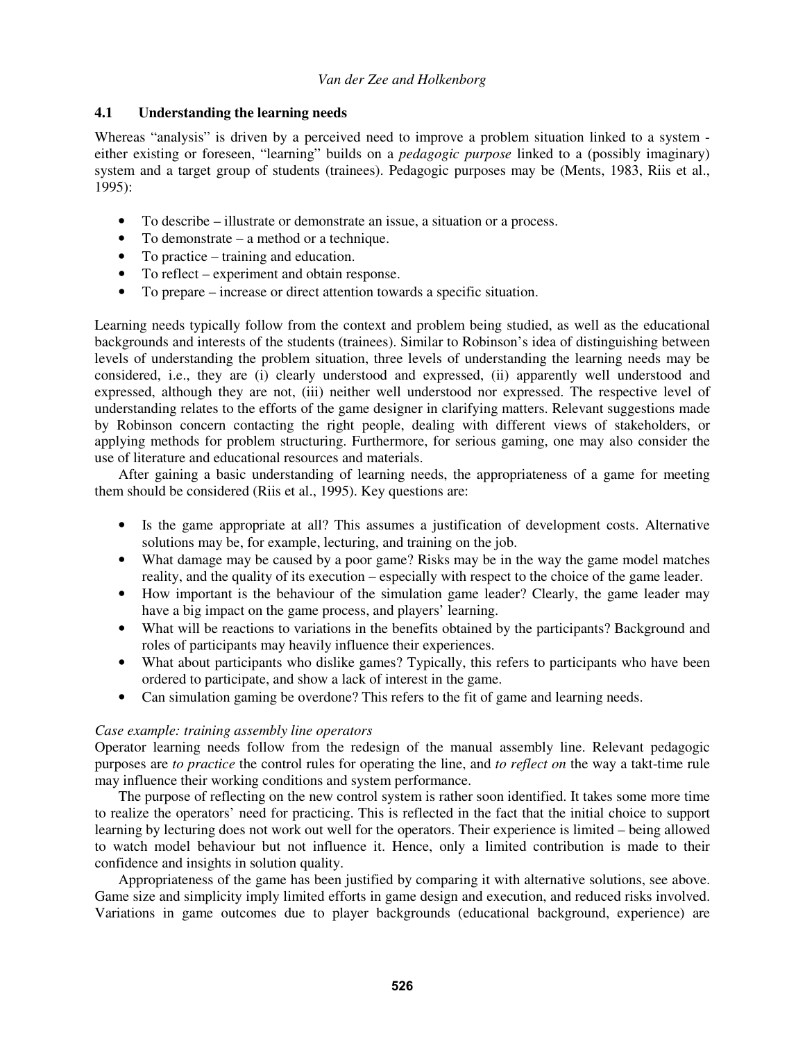# **4.1 Understanding the learning needs**

Whereas "analysis" is driven by a perceived need to improve a problem situation linked to a system either existing or foreseen, "learning" builds on a *pedagogic purpose* linked to a (possibly imaginary) system and a target group of students (trainees). Pedagogic purposes may be (Ments, 1983, Riis et al., 1995):

- To describe illustrate or demonstrate an issue, a situation or a process.
- To demonstrate a method or a technique.
- To practice training and education.
- To reflect experiment and obtain response.
- To prepare increase or direct attention towards a specific situation.

Learning needs typically follow from the context and problem being studied, as well as the educational backgrounds and interests of the students (trainees). Similar to Robinson's idea of distinguishing between levels of understanding the problem situation, three levels of understanding the learning needs may be considered, i.e., they are (i) clearly understood and expressed, (ii) apparently well understood and expressed, although they are not, (iii) neither well understood nor expressed. The respective level of understanding relates to the efforts of the game designer in clarifying matters. Relevant suggestions made by Robinson concern contacting the right people, dealing with different views of stakeholders, or applying methods for problem structuring. Furthermore, for serious gaming, one may also consider the use of literature and educational resources and materials.

After gaining a basic understanding of learning needs, the appropriateness of a game for meeting them should be considered (Riis et al., 1995). Key questions are:

- Is the game appropriate at all? This assumes a justification of development costs. Alternative solutions may be, for example, lecturing, and training on the job.
- What damage may be caused by a poor game? Risks may be in the way the game model matches reality, and the quality of its execution – especially with respect to the choice of the game leader.
- How important is the behaviour of the simulation game leader? Clearly, the game leader may have a big impact on the game process, and players' learning.
- What will be reactions to variations in the benefits obtained by the participants? Background and roles of participants may heavily influence their experiences.
- What about participants who dislike games? Typically, this refers to participants who have been ordered to participate, and show a lack of interest in the game.
- Can simulation gaming be overdone? This refers to the fit of game and learning needs.

### *Case example: training assembly line operators*

Operator learning needs follow from the redesign of the manual assembly line. Relevant pedagogic purposes are *to practice* the control rules for operating the line, and *to reflect on* the way a takt-time rule may influence their working conditions and system performance.

The purpose of reflecting on the new control system is rather soon identified. It takes some more time to realize the operators' need for practicing. This is reflected in the fact that the initial choice to support learning by lecturing does not work out well for the operators. Their experience is limited – being allowed to watch model behaviour but not influence it. Hence, only a limited contribution is made to their confidence and insights in solution quality.

Appropriateness of the game has been justified by comparing it with alternative solutions, see above. Game size and simplicity imply limited efforts in game design and execution, and reduced risks involved. Variations in game outcomes due to player backgrounds (educational background, experience) are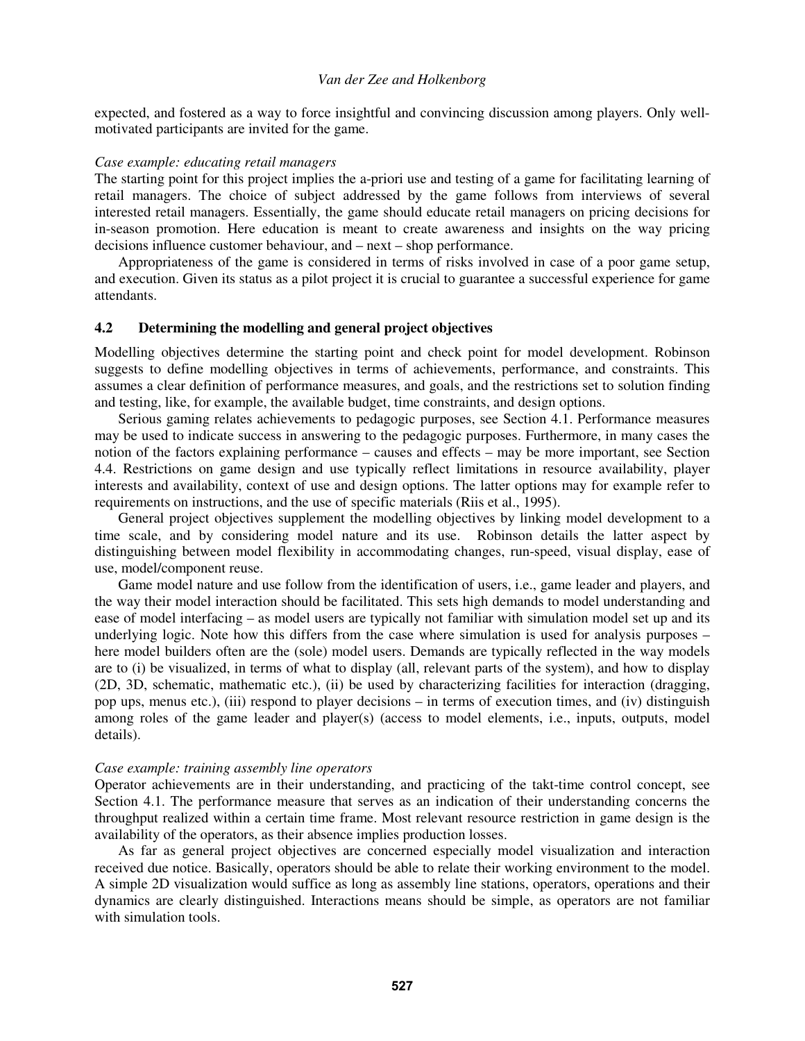expected, and fostered as a way to force insightful and convincing discussion among players. Only wellmotivated participants are invited for the game.

#### *Case example: educating retail managers*

The starting point for this project implies the a-priori use and testing of a game for facilitating learning of retail managers. The choice of subject addressed by the game follows from interviews of several interested retail managers. Essentially, the game should educate retail managers on pricing decisions for in-season promotion. Here education is meant to create awareness and insights on the way pricing decisions influence customer behaviour, and – next – shop performance.

Appropriateness of the game is considered in terms of risks involved in case of a poor game setup, and execution. Given its status as a pilot project it is crucial to guarantee a successful experience for game attendants.

### **4.2 Determining the modelling and general project objectives**

Modelling objectives determine the starting point and check point for model development. Robinson suggests to define modelling objectives in terms of achievements, performance, and constraints. This assumes a clear definition of performance measures, and goals, and the restrictions set to solution finding and testing, like, for example, the available budget, time constraints, and design options.

Serious gaming relates achievements to pedagogic purposes, see Section 4.1. Performance measures may be used to indicate success in answering to the pedagogic purposes. Furthermore, in many cases the notion of the factors explaining performance – causes and effects – may be more important, see Section 4.4. Restrictions on game design and use typically reflect limitations in resource availability, player interests and availability, context of use and design options. The latter options may for example refer to requirements on instructions, and the use of specific materials (Riis et al., 1995).

General project objectives supplement the modelling objectives by linking model development to a time scale, and by considering model nature and its use. Robinson details the latter aspect by distinguishing between model flexibility in accommodating changes, run-speed, visual display, ease of use, model/component reuse.

Game model nature and use follow from the identification of users, i.e., game leader and players, and the way their model interaction should be facilitated. This sets high demands to model understanding and ease of model interfacing – as model users are typically not familiar with simulation model set up and its underlying logic. Note how this differs from the case where simulation is used for analysis purposes – here model builders often are the (sole) model users. Demands are typically reflected in the way models are to (i) be visualized, in terms of what to display (all, relevant parts of the system), and how to display (2D, 3D, schematic, mathematic etc.), (ii) be used by characterizing facilities for interaction (dragging, pop ups, menus etc.), (iii) respond to player decisions – in terms of execution times, and (iv) distinguish among roles of the game leader and player(s) (access to model elements, i.e., inputs, outputs, model details).

#### *Case example: training assembly line operators*

Operator achievements are in their understanding, and practicing of the takt-time control concept, see Section 4.1. The performance measure that serves as an indication of their understanding concerns the throughput realized within a certain time frame. Most relevant resource restriction in game design is the availability of the operators, as their absence implies production losses.

As far as general project objectives are concerned especially model visualization and interaction received due notice. Basically, operators should be able to relate their working environment to the model. A simple 2D visualization would suffice as long as assembly line stations, operators, operations and their dynamics are clearly distinguished. Interactions means should be simple, as operators are not familiar with simulation tools.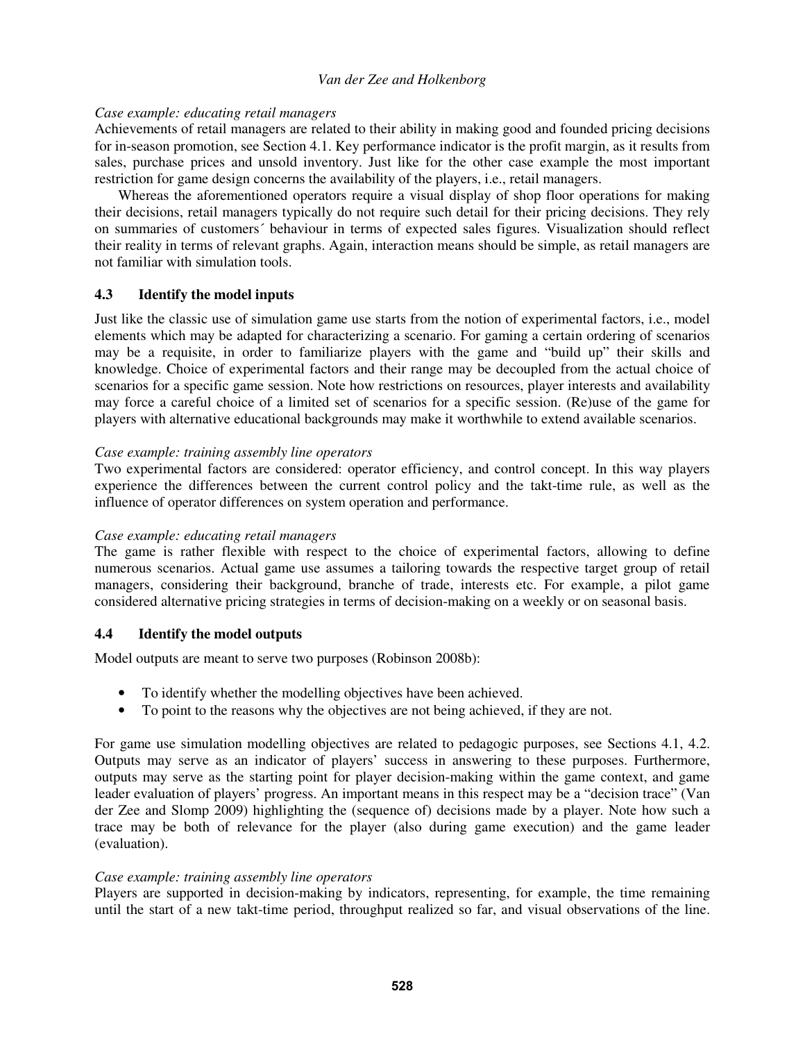### *Case example: educating retail managers*

Achievements of retail managers are related to their ability in making good and founded pricing decisions for in-season promotion, see Section 4.1. Key performance indicator is the profit margin, as it results from sales, purchase prices and unsold inventory. Just like for the other case example the most important restriction for game design concerns the availability of the players, i.e., retail managers.

Whereas the aforementioned operators require a visual display of shop floor operations for making their decisions, retail managers typically do not require such detail for their pricing decisions. They rely on summaries of customers´ behaviour in terms of expected sales figures. Visualization should reflect their reality in terms of relevant graphs. Again, interaction means should be simple, as retail managers are not familiar with simulation tools.

### **4.3 Identify the model inputs**

Just like the classic use of simulation game use starts from the notion of experimental factors, i.e., model elements which may be adapted for characterizing a scenario. For gaming a certain ordering of scenarios may be a requisite, in order to familiarize players with the game and "build up" their skills and knowledge. Choice of experimental factors and their range may be decoupled from the actual choice of scenarios for a specific game session. Note how restrictions on resources, player interests and availability may force a careful choice of a limited set of scenarios for a specific session. (Re)use of the game for players with alternative educational backgrounds may make it worthwhile to extend available scenarios.

### *Case example: training assembly line operators*

Two experimental factors are considered: operator efficiency, and control concept. In this way players experience the differences between the current control policy and the takt-time rule, as well as the influence of operator differences on system operation and performance.

### *Case example: educating retail managers*

The game is rather flexible with respect to the choice of experimental factors, allowing to define numerous scenarios. Actual game use assumes a tailoring towards the respective target group of retail managers, considering their background, branche of trade, interests etc. For example, a pilot game considered alternative pricing strategies in terms of decision-making on a weekly or on seasonal basis.

#### **4.4 Identify the model outputs**

Model outputs are meant to serve two purposes (Robinson 2008b):

- To identify whether the modelling objectives have been achieved.
- To point to the reasons why the objectives are not being achieved, if they are not.

For game use simulation modelling objectives are related to pedagogic purposes, see Sections 4.1, 4.2. Outputs may serve as an indicator of players' success in answering to these purposes. Furthermore, outputs may serve as the starting point for player decision-making within the game context, and game leader evaluation of players' progress. An important means in this respect may be a "decision trace" (Van der Zee and Slomp 2009) highlighting the (sequence of) decisions made by a player. Note how such a trace may be both of relevance for the player (also during game execution) and the game leader (evaluation).

#### *Case example: training assembly line operators*

Players are supported in decision-making by indicators, representing, for example, the time remaining until the start of a new takt-time period, throughput realized so far, and visual observations of the line.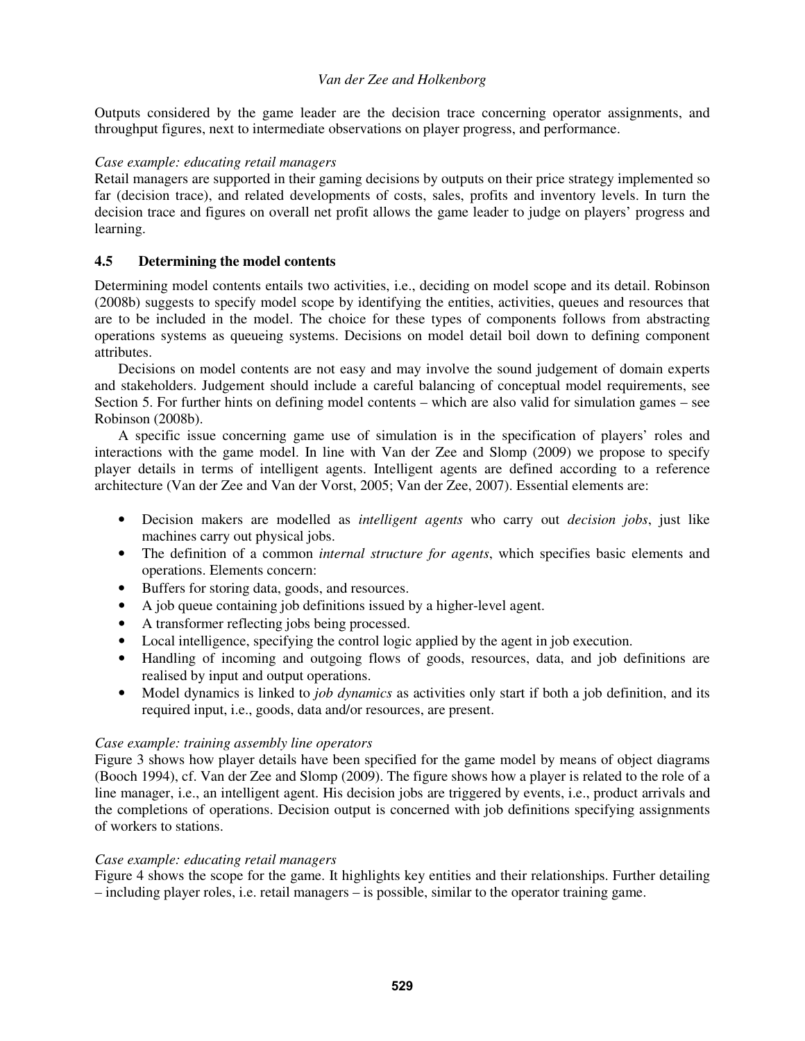Outputs considered by the game leader are the decision trace concerning operator assignments, and throughput figures, next to intermediate observations on player progress, and performance.

### *Case example: educating retail managers*

Retail managers are supported in their gaming decisions by outputs on their price strategy implemented so far (decision trace), and related developments of costs, sales, profits and inventory levels. In turn the decision trace and figures on overall net profit allows the game leader to judge on players' progress and learning.

### **4.5 Determining the model contents**

Determining model contents entails two activities, i.e., deciding on model scope and its detail. Robinson (2008b) suggests to specify model scope by identifying the entities, activities, queues and resources that are to be included in the model. The choice for these types of components follows from abstracting operations systems as queueing systems. Decisions on model detail boil down to defining component attributes.

 Decisions on model contents are not easy and may involve the sound judgement of domain experts and stakeholders. Judgement should include a careful balancing of conceptual model requirements, see Section 5. For further hints on defining model contents – which are also valid for simulation games – see Robinson (2008b).

A specific issue concerning game use of simulation is in the specification of players' roles and interactions with the game model. In line with Van der Zee and Slomp (2009) we propose to specify player details in terms of intelligent agents. Intelligent agents are defined according to a reference architecture (Van der Zee and Van der Vorst, 2005; Van der Zee, 2007). Essential elements are:

- Decision makers are modelled as *intelligent agents* who carry out *decision jobs*, just like machines carry out physical jobs.
- The definition of a common *internal structure for agents*, which specifies basic elements and operations. Elements concern:
- Buffers for storing data, goods, and resources.
- A job queue containing job definitions issued by a higher-level agent.
- A transformer reflecting jobs being processed.
- Local intelligence, specifying the control logic applied by the agent in job execution.
- Handling of incoming and outgoing flows of goods, resources, data, and job definitions are realised by input and output operations.
- Model dynamics is linked to *job dynamics* as activities only start if both a job definition, and its required input, i.e., goods, data and/or resources, are present.

#### *Case example: training assembly line operators*

Figure 3 shows how player details have been specified for the game model by means of object diagrams (Booch 1994), cf. Van der Zee and Slomp (2009). The figure shows how a player is related to the role of a line manager, i.e., an intelligent agent. His decision jobs are triggered by events, i.e., product arrivals and the completions of operations. Decision output is concerned with job definitions specifying assignments of workers to stations.

### *Case example: educating retail managers*

Figure 4 shows the scope for the game. It highlights key entities and their relationships. Further detailing – including player roles, i.e. retail managers – is possible, similar to the operator training game.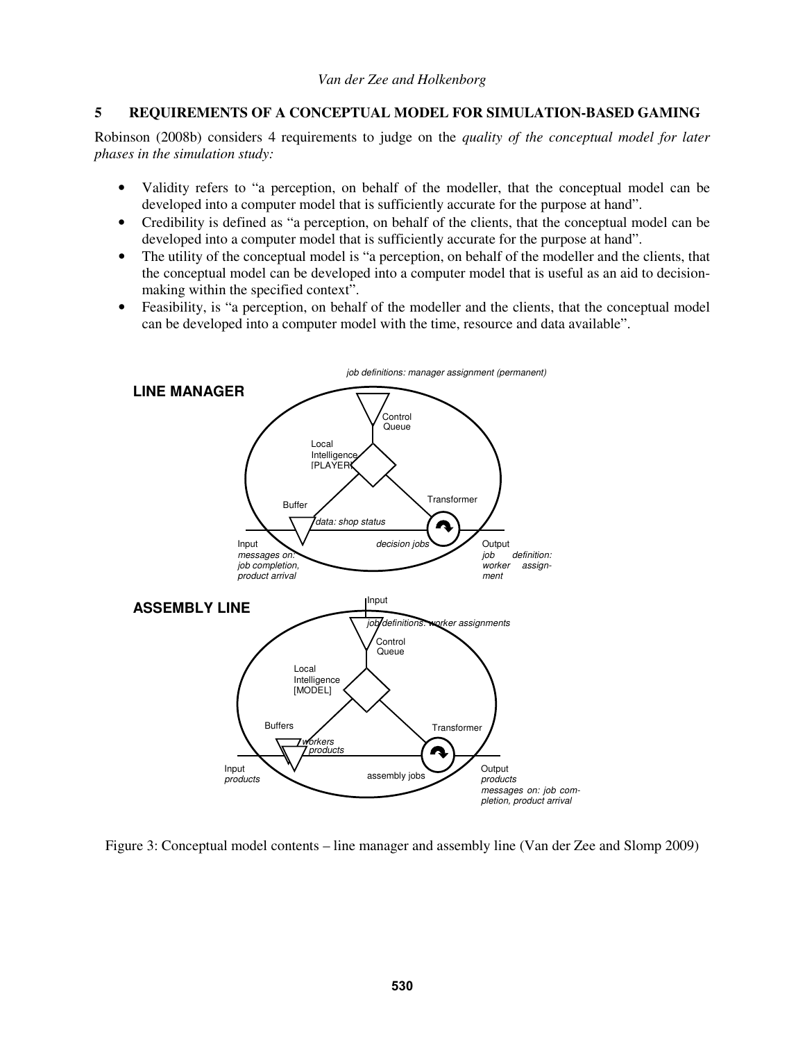# **5 REQUIREMENTS OF A CONCEPTUAL MODEL FOR SIMULATION-BASED GAMING**

Robinson (2008b) considers 4 requirements to judge on the *quality of the conceptual model for later phases in the simulation study:*

- Validity refers to "a perception, on behalf of the modeller, that the conceptual model can be developed into a computer model that is sufficiently accurate for the purpose at hand".
- Credibility is defined as "a perception, on behalf of the clients, that the conceptual model can be developed into a computer model that is sufficiently accurate for the purpose at hand".
- The utility of the conceptual model is "a perception, on behalf of the modeller and the clients, that the conceptual model can be developed into a computer model that is useful as an aid to decisionmaking within the specified context".
- Feasibility, is "a perception, on behalf of the modeller and the clients, that the conceptual model can be developed into a computer model with the time, resource and data available".



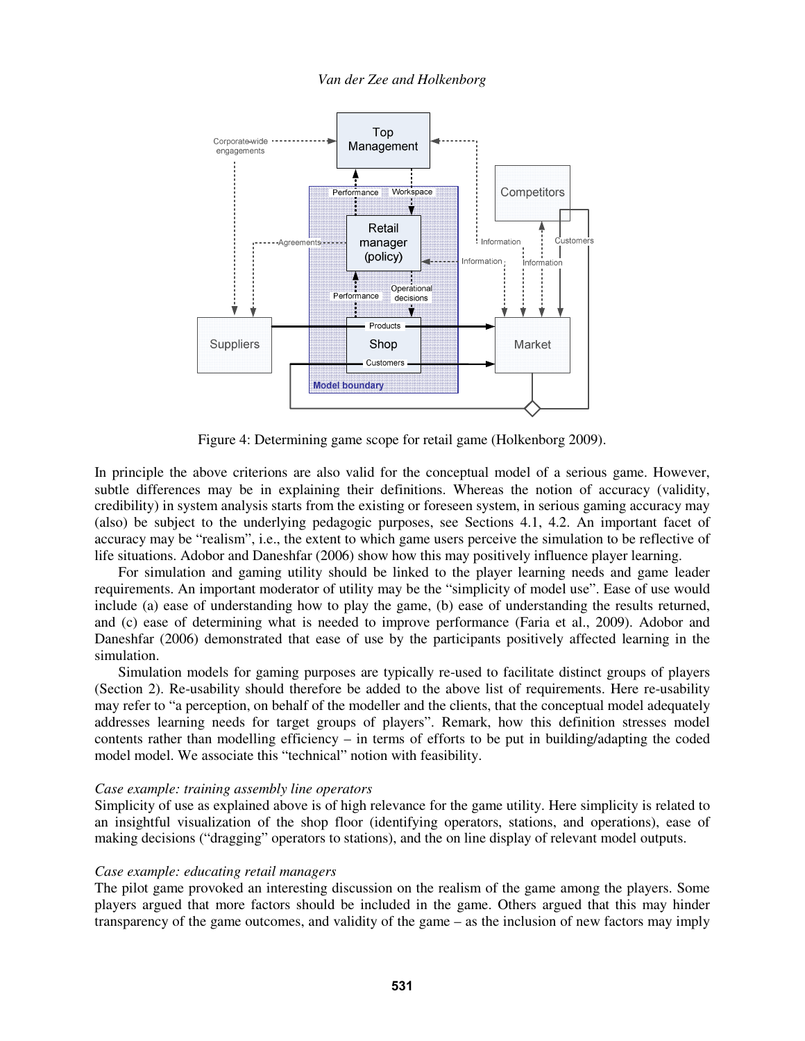

Figure 4: Determining game scope for retail game (Holkenborg 2009).

In principle the above criterions are also valid for the conceptual model of a serious game. However, subtle differences may be in explaining their definitions. Whereas the notion of accuracy (validity, credibility) in system analysis starts from the existing or foreseen system, in serious gaming accuracy may (also) be subject to the underlying pedagogic purposes, see Sections 4.1, 4.2. An important facet of accuracy may be "realism", i.e., the extent to which game users perceive the simulation to be reflective of life situations. Adobor and Daneshfar (2006) show how this may positively influence player learning.

For simulation and gaming utility should be linked to the player learning needs and game leader requirements. An important moderator of utility may be the "simplicity of model use". Ease of use would include (a) ease of understanding how to play the game, (b) ease of understanding the results returned, and (c) ease of determining what is needed to improve performance (Faria et al., 2009). Adobor and Daneshfar (2006) demonstrated that ease of use by the participants positively affected learning in the simulation.

Simulation models for gaming purposes are typically re-used to facilitate distinct groups of players (Section 2). Re-usability should therefore be added to the above list of requirements. Here re-usability may refer to "a perception, on behalf of the modeller and the clients, that the conceptual model adequately addresses learning needs for target groups of players". Remark, how this definition stresses model contents rather than modelling efficiency – in terms of efforts to be put in building/adapting the coded model model. We associate this "technical" notion with feasibility.

#### *Case example: training assembly line operators*

Simplicity of use as explained above is of high relevance for the game utility. Here simplicity is related to an insightful visualization of the shop floor (identifying operators, stations, and operations), ease of making decisions ("dragging" operators to stations), and the on line display of relevant model outputs.

### *Case example: educating retail managers*

The pilot game provoked an interesting discussion on the realism of the game among the players. Some players argued that more factors should be included in the game. Others argued that this may hinder transparency of the game outcomes, and validity of the game – as the inclusion of new factors may imply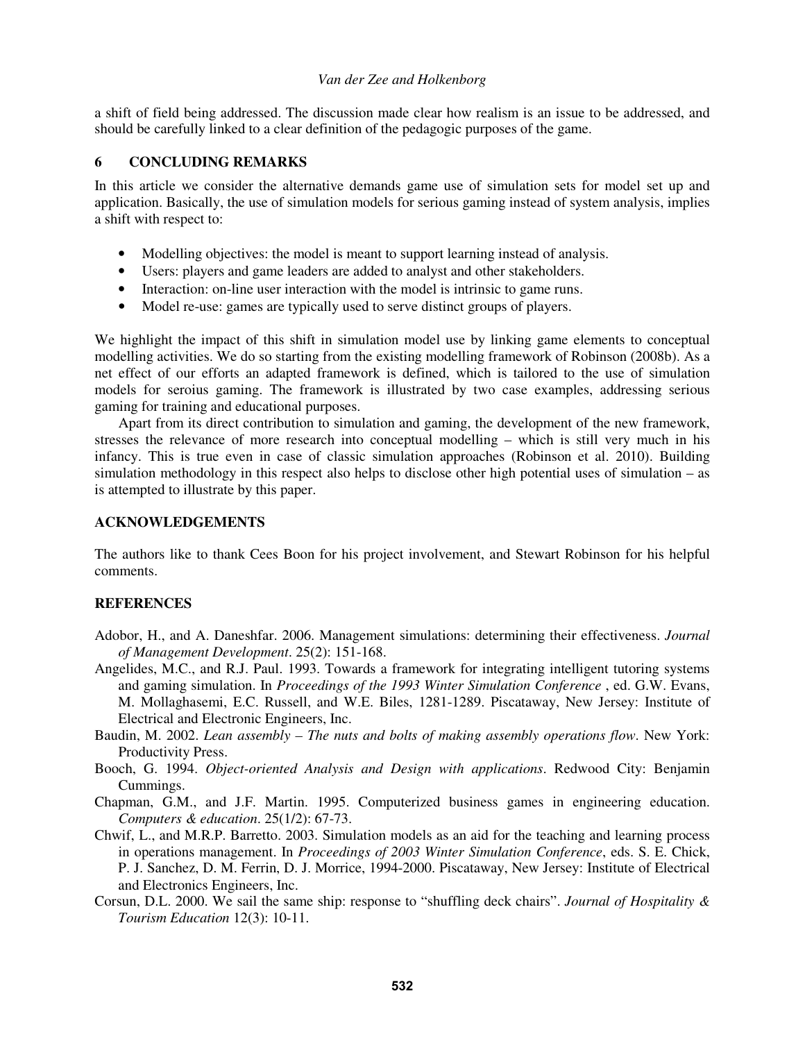a shift of field being addressed. The discussion made clear how realism is an issue to be addressed, and should be carefully linked to a clear definition of the pedagogic purposes of the game.

### **6 CONCLUDING REMARKS**

In this article we consider the alternative demands game use of simulation sets for model set up and application. Basically, the use of simulation models for serious gaming instead of system analysis, implies a shift with respect to:

- Modelling objectives: the model is meant to support learning instead of analysis.
- Users: players and game leaders are added to analyst and other stakeholders.
- Interaction: on-line user interaction with the model is intrinsic to game runs.
- Model re-use: games are typically used to serve distinct groups of players.

We highlight the impact of this shift in simulation model use by linking game elements to conceptual modelling activities. We do so starting from the existing modelling framework of Robinson (2008b). As a net effect of our efforts an adapted framework is defined, which is tailored to the use of simulation models for seroius gaming. The framework is illustrated by two case examples, addressing serious gaming for training and educational purposes.

Apart from its direct contribution to simulation and gaming, the development of the new framework, stresses the relevance of more research into conceptual modelling – which is still very much in his infancy. This is true even in case of classic simulation approaches (Robinson et al. 2010). Building simulation methodology in this respect also helps to disclose other high potential uses of simulation – as is attempted to illustrate by this paper.

### **ACKNOWLEDGEMENTS**

The authors like to thank Cees Boon for his project involvement, and Stewart Robinson for his helpful comments.

### **REFERENCES**

- Adobor, H., and A. Daneshfar. 2006. Management simulations: determining their effectiveness. *Journal of Management Development*. 25(2): 151-168.
- Angelides, M.C., and R.J. Paul. 1993. Towards a framework for integrating intelligent tutoring systems and gaming simulation. In *Proceedings of the 1993 Winter Simulation Conference* , ed. G.W. Evans, M. Mollaghasemi, E.C. Russell, and W.E. Biles, 1281-1289. Piscataway, New Jersey: Institute of Electrical and Electronic Engineers, Inc.
- Baudin, M. 2002. *Lean assembly The nuts and bolts of making assembly operations flow*. New York: Productivity Press.
- Booch, G. 1994. *Object-oriented Analysis and Design with applications*. Redwood City: Benjamin Cummings.
- Chapman, G.M., and J.F. Martin. 1995. Computerized business games in engineering education. *Computers & education*. 25(1/2): 67-73.
- Chwif, L., and M.R.P. Barretto. 2003. Simulation models as an aid for the teaching and learning process in operations management. In *Proceedings of 2003 Winter Simulation Conference*, eds. S. E. Chick, P. J. Sanchez, D. M. Ferrin, D. J. Morrice, 1994-2000. Piscataway, New Jersey: Institute of Electrical and Electronics Engineers, Inc.
- Corsun, D.L. 2000. We sail the same ship: response to "shuffling deck chairs". *Journal of Hospitality & Tourism Education* 12(3): 10-11.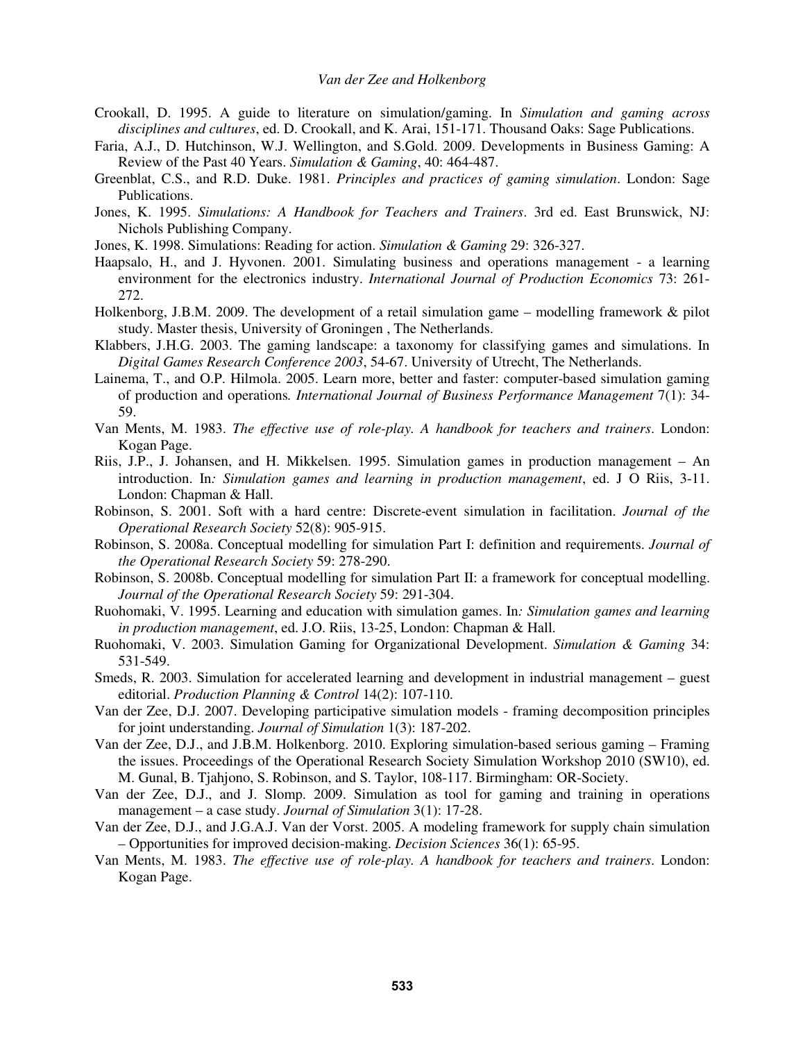- Crookall, D. 1995. A guide to literature on simulation/gaming. In *Simulation and gaming across disciplines and cultures*, ed. D. Crookall, and K. Arai, 151-171. Thousand Oaks: Sage Publications.
- Faria, A.J., D. Hutchinson, W.J. Wellington, and S.Gold. 2009. Developments in Business Gaming: A Review of the Past 40 Years. *Simulation & Gaming*, 40: 464-487.
- Greenblat, C.S., and R.D. Duke. 1981. *Principles and practices of gaming simulation*. London: Sage Publications.
- Jones, K. 1995. *Simulations: A Handbook for Teachers and Trainers*. 3rd ed. East Brunswick, NJ: Nichols Publishing Company.
- Jones, K. 1998. Simulations: Reading for action. *Simulation & Gaming* 29: 326-327.
- Haapsalo, H., and J. Hyvonen. 2001. Simulating business and operations management a learning environment for the electronics industry. *International Journal of Production Economics* 73: 261- 272.
- Holkenborg, J.B.M. 2009. The development of a retail simulation game modelling framework & pilot study. Master thesis, University of Groningen , The Netherlands.
- Klabbers, J.H.G. 2003. The gaming landscape: a taxonomy for classifying games and simulations. In *Digital Games Research Conference 2003*, 54-67. University of Utrecht, The Netherlands.
- Lainema, T., and O.P. Hilmola. 2005. Learn more, better and faster: computer-based simulation gaming of production and operations*. International Journal of Business Performance Management* 7(1): 34- 59.
- Van Ments, M. 1983. *The effective use of role-play. A handbook for teachers and trainers*. London: Kogan Page.
- Riis, J.P., J. Johansen, and H. Mikkelsen. 1995. Simulation games in production management An introduction. In*: Simulation games and learning in production management*, ed. J O Riis, 3-11. London: Chapman & Hall.
- Robinson, S. 2001. Soft with a hard centre: Discrete-event simulation in facilitation. *Journal of the Operational Research Society* 52(8): 905-915.
- Robinson, S. 2008a. Conceptual modelling for simulation Part I: definition and requirements. *Journal of the Operational Research Society* 59: 278-290.
- Robinson, S. 2008b. Conceptual modelling for simulation Part II: a framework for conceptual modelling. *Journal of the Operational Research Society* 59: 291-304.
- Ruohomaki, V. 1995. Learning and education with simulation games. In*: Simulation games and learning in production management*, ed. J.O. Riis, 13-25, London: Chapman & Hall.
- Ruohomaki, V. 2003. Simulation Gaming for Organizational Development. *Simulation & Gaming* 34: 531-549.
- Smeds, R. 2003. Simulation for accelerated learning and development in industrial management guest editorial. *Production Planning & Control* 14(2): 107-110.
- Van der Zee, D.J. 2007. Developing participative simulation models framing decomposition principles for joint understanding. *Journal of Simulation* 1(3): 187-202.
- Van der Zee, D.J., and J.B.M. Holkenborg. 2010. Exploring simulation-based serious gaming Framing the issues. Proceedings of the Operational Research Society Simulation Workshop 2010 (SW10), ed. M. Gunal, B. Tjahjono, S. Robinson, and S. Taylor, 108-117. Birmingham: OR-Society.
- Van der Zee, D.J., and J. Slomp. 2009. Simulation as tool for gaming and training in operations management – a case study. *Journal of Simulation* 3(1): 17-28.
- Van der Zee, D.J., and J.G.A.J. Van der Vorst. 2005. A modeling framework for supply chain simulation – Opportunities for improved decision-making. *Decision Sciences* 36(1): 65-95.
- Van Ments, M. 1983. *The effective use of role-play. A handbook for teachers and trainers*. London: Kogan Page.